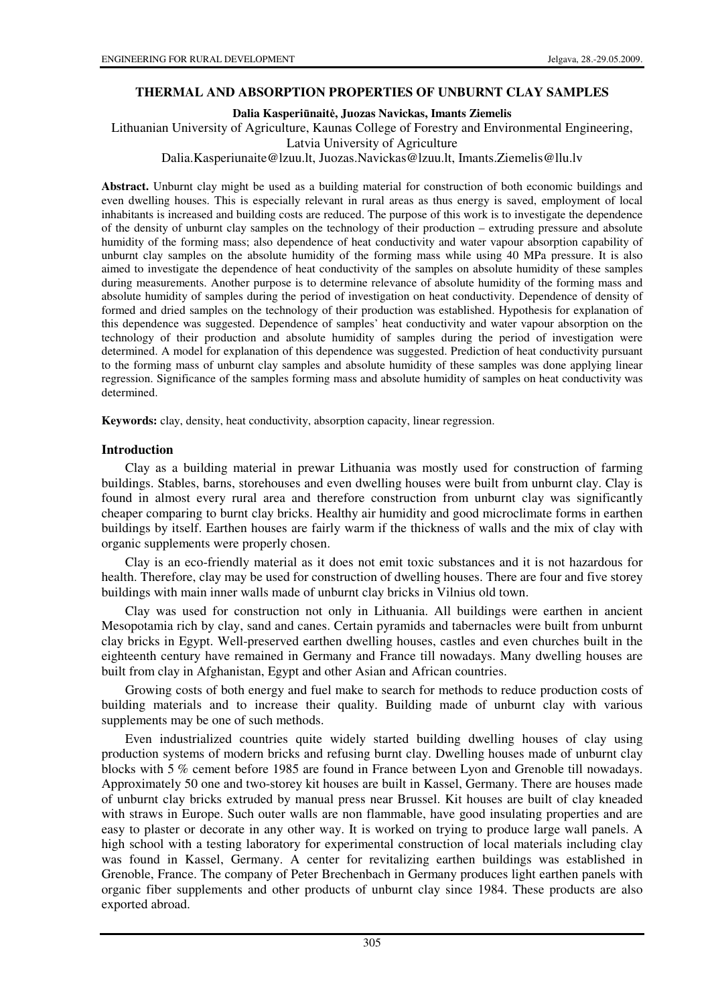### **THERMAL AND ABSORPTION PROPERTIES OF UNBURNT CLAY SAMPLES**

**Dalia Kasperi**ū**nait**ė**, Juozas Navickas, Imants Ziemelis** 

Lithuanian University of Agriculture, Kaunas College of Forestry and Environmental Engineering,

Latvia University of Agriculture

Dalia.Kasperiunaite@lzuu.lt, Juozas.Navickas@lzuu.lt, Imants.Ziemelis@llu.lv

**Abstract.** Unburnt clay might be used as a building material for construction of both economic buildings and even dwelling houses. This is especially relevant in rural areas as thus energy is saved, employment of local inhabitants is increased and building costs are reduced. The purpose of this work is to investigate the dependence of the density of unburnt clay samples on the technology of their production – extruding pressure and absolute humidity of the forming mass; also dependence of heat conductivity and water vapour absorption capability of unburnt clay samples on the absolute humidity of the forming mass while using 40 MPa pressure. It is also aimed to investigate the dependence of heat conductivity of the samples on absolute humidity of these samples during measurements. Another purpose is to determine relevance of absolute humidity of the forming mass and absolute humidity of samples during the period of investigation on heat conductivity. Dependence of density of formed and dried samples on the technology of their production was established. Hypothesis for explanation of this dependence was suggested. Dependence of samples' heat conductivity and water vapour absorption on the technology of their production and absolute humidity of samples during the period of investigation were determined. A model for explanation of this dependence was suggested. Prediction of heat conductivity pursuant to the forming mass of unburnt clay samples and absolute humidity of these samples was done applying linear regression. Significance of the samples forming mass and absolute humidity of samples on heat conductivity was determined.

**Keywords:** clay, density, heat conductivity, absorption capacity, linear regression.

#### **Introduction**

Clay as a building material in prewar Lithuania was mostly used for construction of farming buildings. Stables, barns, storehouses and even dwelling houses were built from unburnt clay. Clay is found in almost every rural area and therefore construction from unburnt clay was significantly cheaper comparing to burnt clay bricks. Healthy air humidity and good microclimate forms in earthen buildings by itself. Earthen houses are fairly warm if the thickness of walls and the mix of clay with organic supplements were properly chosen.

Clay is an eco-friendly material as it does not emit toxic substances and it is not hazardous for health. Therefore, clay may be used for construction of dwelling houses. There are four and five storey buildings with main inner walls made of unburnt clay bricks in Vilnius old town.

Clay was used for construction not only in Lithuania. All buildings were earthen in ancient Mesopotamia rich by clay, sand and canes. Certain pyramids and tabernacles were built from unburnt clay bricks in Egypt. Well-preserved earthen dwelling houses, castles and even churches built in the eighteenth century have remained in Germany and France till nowadays. Many dwelling houses are built from clay in Afghanistan, Egypt and other Asian and African countries.

Growing costs of both energy and fuel make to search for methods to reduce production costs of building materials and to increase their quality. Building made of unburnt clay with various supplements may be one of such methods.

Even industrialized countries quite widely started building dwelling houses of clay using production systems of modern bricks and refusing burnt clay. Dwelling houses made of unburnt clay blocks with 5 % cement before 1985 are found in France between Lyon and Grenoble till nowadays. Approximately 50 one and two-storey kit houses are built in Kassel, Germany. There are houses made of unburnt clay bricks extruded by manual press near Brussel. Kit houses are built of clay kneaded with straws in Europe. Such outer walls are non flammable, have good insulating properties and are easy to plaster or decorate in any other way. It is worked on trying to produce large wall panels. A high school with a testing laboratory for experimental construction of local materials including clay was found in Kassel, Germany. A center for revitalizing earthen buildings was established in Grenoble, France. The company of Peter Brechenbach in Germany produces light earthen panels with organic fiber supplements and other products of unburnt clay since 1984. These products are also exported abroad.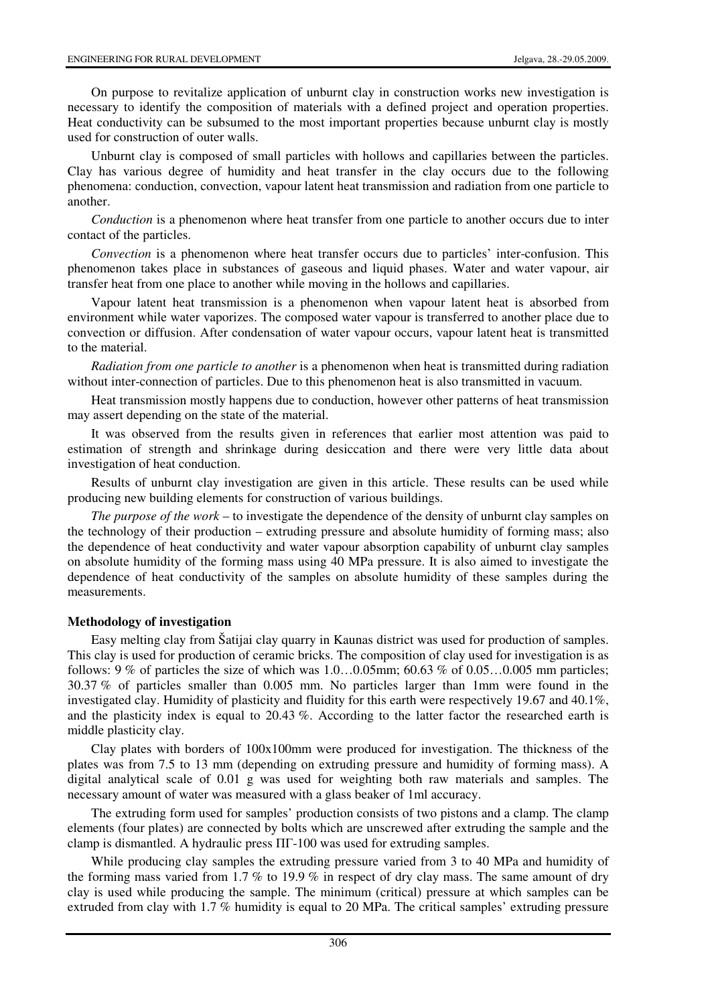On purpose to revitalize application of unburnt clay in construction works new investigation is necessary to identify the composition of materials with a defined project and operation properties. Heat conductivity can be subsumed to the most important properties because unburnt clay is mostly used for construction of outer walls.

Unburnt clay is composed of small particles with hollows and capillaries between the particles. Clay has various degree of humidity and heat transfer in the clay occurs due to the following phenomena: conduction, convection, vapour latent heat transmission and radiation from one particle to another.

*Conduction* is a phenomenon where heat transfer from one particle to another occurs due to inter contact of the particles.

*Convection* is a phenomenon where heat transfer occurs due to particles' inter-confusion. This phenomenon takes place in substances of gaseous and liquid phases. Water and water vapour, air transfer heat from one place to another while moving in the hollows and capillaries.

Vapour latent heat transmission is a phenomenon when vapour latent heat is absorbed from environment while water vaporizes. The composed water vapour is transferred to another place due to convection or diffusion. After condensation of water vapour occurs, vapour latent heat is transmitted to the material.

*Radiation from one particle to another* is a phenomenon when heat is transmitted during radiation without inter-connection of particles. Due to this phenomenon heat is also transmitted in vacuum.

Heat transmission mostly happens due to conduction, however other patterns of heat transmission may assert depending on the state of the material.

It was observed from the results given in references that earlier most attention was paid to estimation of strength and shrinkage during desiccation and there were very little data about investigation of heat conduction.

Results of unburnt clay investigation are given in this article. These results can be used while producing new building elements for construction of various buildings.

*The purpose of the work* – to investigate the dependence of the density of unburnt clay samples on the technology of their production – extruding pressure and absolute humidity of forming mass; also the dependence of heat conductivity and water vapour absorption capability of unburnt clay samples on absolute humidity of the forming mass using 40 MPa pressure. It is also aimed to investigate the dependence of heat conductivity of the samples on absolute humidity of these samples during the measurements.

#### **Methodology of investigation**

Easy melting clay from Šatijai clay quarry in Kaunas district was used for production of samples. This clay is used for production of ceramic bricks. The composition of clay used for investigation is as follows: 9 % of particles the size of which was  $1.0...0.05$ mm;  $60.63$  % of  $0.05...0.005$  mm particles; 30.37 % of particles smaller than 0.005 mm. No particles larger than 1mm were found in the investigated clay. Humidity of plasticity and fluidity for this earth were respectively 19.67 and 40.1%, and the plasticity index is equal to 20.43 %. According to the latter factor the researched earth is middle plasticity clay.

Clay plates with borders of 100x100mm were produced for investigation. The thickness of the plates was from 7.5 to 13 mm (depending on extruding pressure and humidity of forming mass). A digital analytical scale of 0.01 g was used for weighting both raw materials and samples. The necessary amount of water was measured with a glass beaker of 1ml accuracy.

The extruding form used for samples' production consists of two pistons and a clamp. The clamp elements (four plates) are connected by bolts which are unscrewed after extruding the sample and the clamp is dismantled. A hydraulic press ПГ-100 was used for extruding samples.

While producing clay samples the extruding pressure varied from 3 to 40 MPa and humidity of the forming mass varied from 1.7 % to 19.9 % in respect of dry clay mass. The same amount of dry clay is used while producing the sample. The minimum (critical) pressure at which samples can be extruded from clay with 1.7 % humidity is equal to 20 MPa. The critical samples' extruding pressure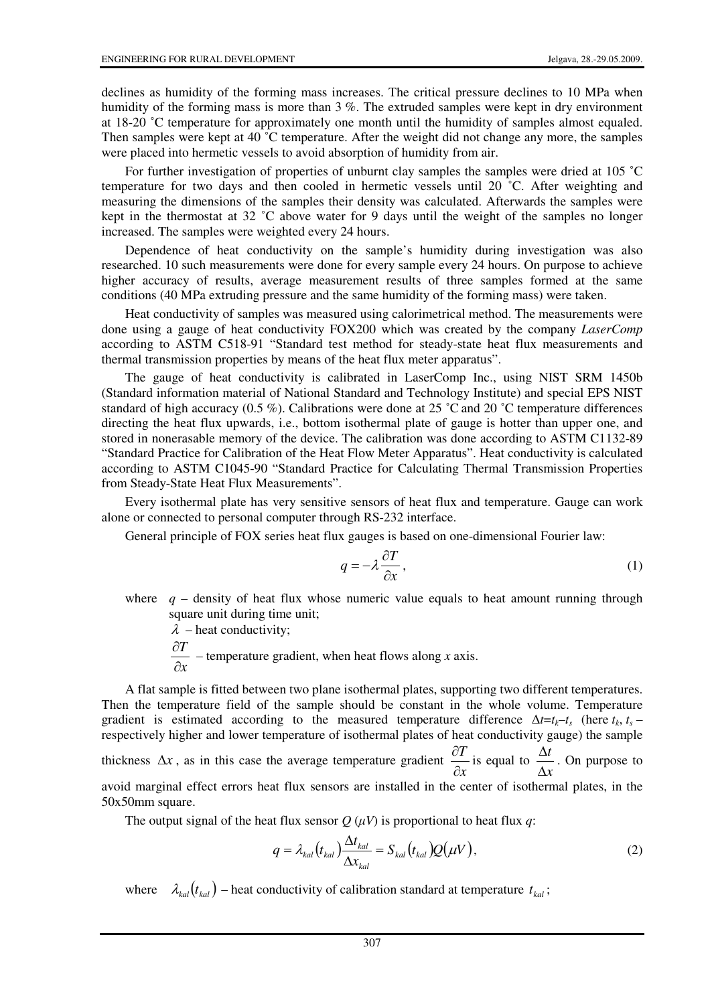declines as humidity of the forming mass increases. The critical pressure declines to 10 MPa when humidity of the forming mass is more than 3 %. The extruded samples were kept in dry environment at 18-20 ˚C temperature for approximately one month until the humidity of samples almost equaled. Then samples were kept at 40 ˚C temperature. After the weight did not change any more, the samples were placed into hermetic vessels to avoid absorption of humidity from air.

For further investigation of properties of unburnt clay samples the samples were dried at 105 ˚C temperature for two days and then cooled in hermetic vessels until 20 ˚C. After weighting and measuring the dimensions of the samples their density was calculated. Afterwards the samples were kept in the thermostat at 32 ˚C above water for 9 days until the weight of the samples no longer increased. The samples were weighted every 24 hours.

Dependence of heat conductivity on the sample's humidity during investigation was also researched. 10 such measurements were done for every sample every 24 hours. On purpose to achieve higher accuracy of results, average measurement results of three samples formed at the same conditions (40 MPa extruding pressure and the same humidity of the forming mass) were taken.

Heat conductivity of samples was measured using calorimetrical method. The measurements were done using a gauge of heat conductivity FOX200 which was created by the company *LaserComp*  according to ASTM C518-91 "Standard test method for steady-state heat flux measurements and thermal transmission properties by means of the heat flux meter apparatus".

The gauge of heat conductivity is calibrated in LaserComp Inc., using NIST SRM 1450b (Standard information material of National Standard and Technology Institute) and special EPS NIST standard of high accuracy (0.5 %). Calibrations were done at 25  $^{\circ}$ C and 20  $^{\circ}$ C temperature differences directing the heat flux upwards, i.e., bottom isothermal plate of gauge is hotter than upper one, and stored in nonerasable memory of the device. The calibration was done according to ASTM C1132-89 "Standard Practice for Calibration of the Heat Flow Meter Apparatus". Heat conductivity is calculated according to ASTM C1045-90 "Standard Practice for Calculating Thermal Transmission Properties from Steady-State Heat Flux Measurements".

Every isothermal plate has very sensitive sensors of heat flux and temperature. Gauge can work alone or connected to personal computer through RS-232 interface.

General principle of FOX series heat flux gauges is based on one-dimensional Fourier law:

$$
q = -\lambda \frac{\partial T}{\partial x},\qquad(1)
$$

where  $q$  – density of heat flux whose numeric value equals to heat amount running through square unit during time unit;

 $\lambda$  – heat conductivity:

*x T*  $\partial$ ∂ – temperature gradient, when heat flows along *x* axis.

A flat sample is fitted between two plane isothermal plates, supporting two different temperatures. Then the temperature field of the sample should be constant in the whole volume. Temperature gradient is estimated according to the measured temperature difference  $\Delta t = t_k - t_s$  (here  $t_k$ ,  $t_s$  – respectively higher and lower temperature of isothermal plates of heat conductivity gauge) the sample thickness  $\Delta x$ , as in this case the average temperature gradient *x T* ∂  $\frac{\partial T}{\partial t}$  is equal to *x t* ∆  $\frac{\Delta t}{\Delta t}$ . On purpose to avoid marginal effect errors heat flux sensors are installed in the center of isothermal plates, in the 50x50mm square.

The output signal of the heat flux sensor  $Q(\mu V)$  is proportional to heat flux *q*:

$$
q = \lambda_{kal} \left( t_{kal} \right) \frac{\Delta t_{kal}}{\Delta x_{kal}} = S_{kal} \left( t_{kal} \right) Q(\mu V), \tag{2}
$$

where  $\lambda_{kal} ( t_{kal} )$  – heat conductivity of calibration standard at temperature  $t_{kal}$ ;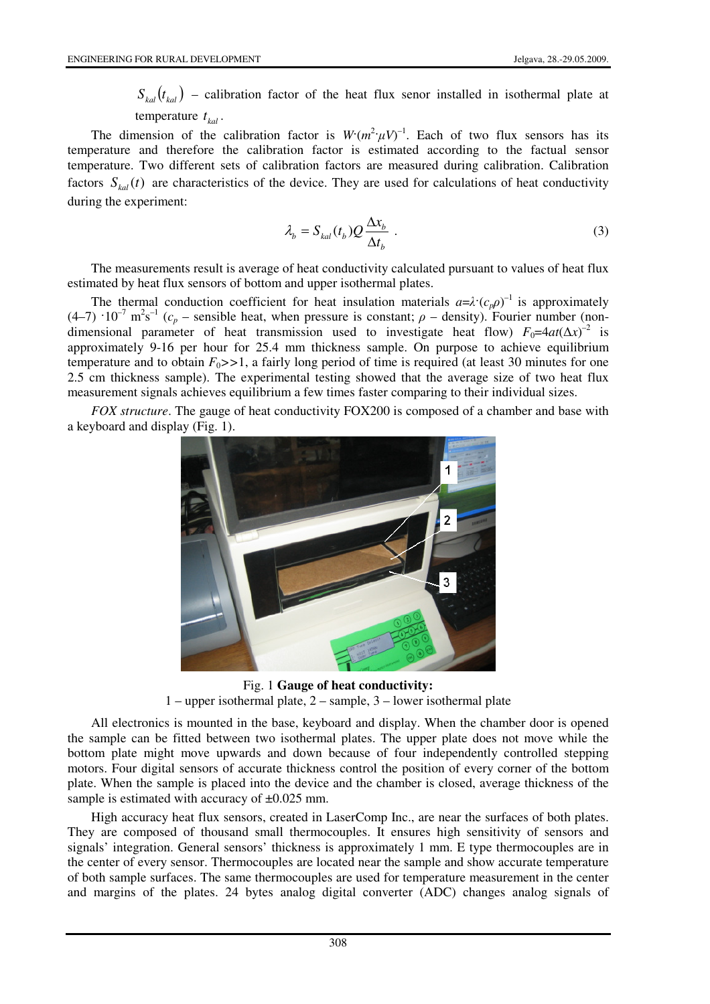$S_{kal}(t_{kal})$  – calibration factor of the heat flux senor installed in isothermal plate at temperature  $t_{kal}$ .

The dimension of the calibration factor is  $W(m^2 \mu V)^{-1}$ . Each of two flux sensors has its temperature and therefore the calibration factor is estimated according to the factual sensor temperature. Two different sets of calibration factors are measured during calibration. Calibration factors  $S_{kal}(t)$  are characteristics of the device. They are used for calculations of heat conductivity during the experiment:

$$
\lambda_b = S_{kal}(t_b) Q \frac{\Delta x_b}{\Delta t_b} \tag{3}
$$

The measurements result is average of heat conductivity calculated pursuant to values of heat flux estimated by heat flux sensors of bottom and upper isothermal plates.

The thermal conduction coefficient for heat insulation materials  $a=\lambda^{\prime}(c_{p}\rho)^{-1}$  is approximately  $(4-7)$   $10^{-7}$  m<sup>2</sup>s<sup>-1</sup> ( $c_p$  – sensible heat, when pressure is constant;  $\rho$  – density). Fourier number (nondimensional parameter of heat transmission used to investigate heat flow)  $F_0=4at(\Delta x)^{-2}$  is approximately 9-16 per hour for 25.4 mm thickness sample. On purpose to achieve equilibrium temperature and to obtain  $F_0$ >>1, a fairly long period of time is required (at least 30 minutes for one 2.5 cm thickness sample). The experimental testing showed that the average size of two heat flux measurement signals achieves equilibrium a few times faster comparing to their individual sizes.

*FOX structure*. The gauge of heat conductivity FOX200 is composed of a chamber and base with a keyboard and display (Fig. 1).



Fig. 1 **Gauge of heat conductivity:**  1 – upper isothermal plate, 2 – sample, 3 – lower isothermal plate

All electronics is mounted in the base, keyboard and display. When the chamber door is opened the sample can be fitted between two isothermal plates. The upper plate does not move while the bottom plate might move upwards and down because of four independently controlled stepping motors. Four digital sensors of accurate thickness control the position of every corner of the bottom plate. When the sample is placed into the device and the chamber is closed, average thickness of the sample is estimated with accuracy of  $\pm 0.025$  mm.

High accuracy heat flux sensors, created in LaserComp Inc., are near the surfaces of both plates. They are composed of thousand small thermocouples. It ensures high sensitivity of sensors and signals' integration. General sensors' thickness is approximately 1 mm. E type thermocouples are in the center of every sensor. Thermocouples are located near the sample and show accurate temperature of both sample surfaces. The same thermocouples are used for temperature measurement in the center and margins of the plates. 24 bytes analog digital converter (ADC) changes analog signals of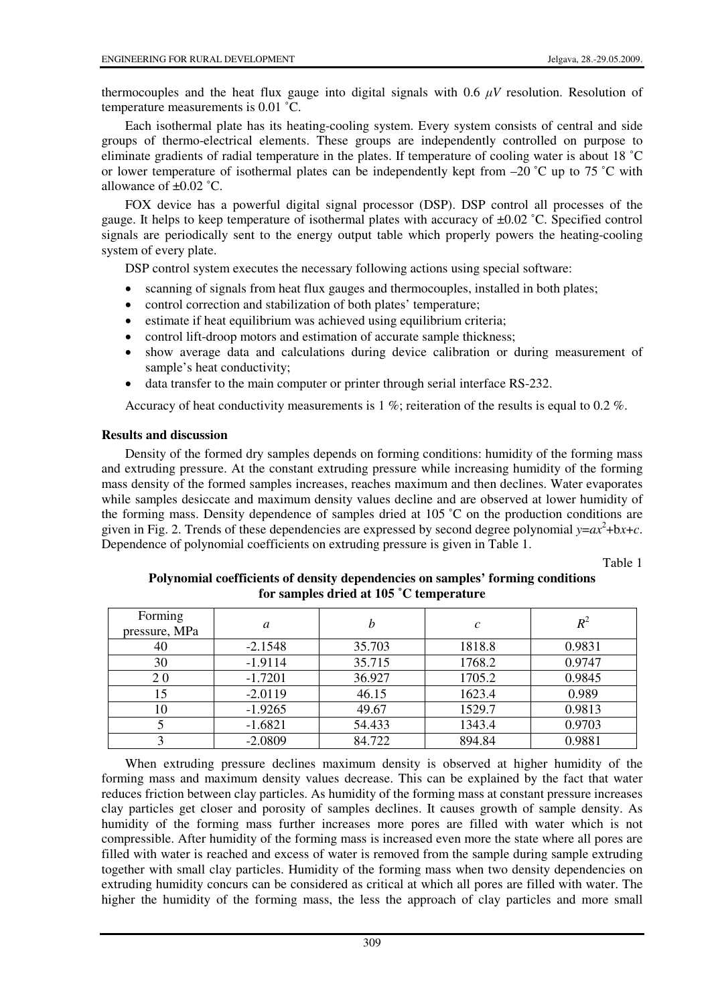thermocouples and the heat flux gauge into digital signals with  $0.6 \mu V$  resolution. Resolution of temperature measurements is 0.01 ˚C.

Each isothermal plate has its heating-cooling system. Every system consists of central and side groups of thermo-electrical elements. These groups are independently controlled on purpose to eliminate gradients of radial temperature in the plates. If temperature of cooling water is about 18 ˚C or lower temperature of isothermal plates can be independently kept from  $-20$  °C up to 75 °C with allowance of  $\pm 0.02$  °C.

FOX device has a powerful digital signal processor (DSP). DSP control all processes of the gauge. It helps to keep temperature of isothermal plates with accuracy of  $\pm 0.02$  °C. Specified control signals are periodically sent to the energy output table which properly powers the heating-cooling system of every plate.

DSP control system executes the necessary following actions using special software:

- scanning of signals from heat flux gauges and thermocouples, installed in both plates;
- control correction and stabilization of both plates' temperature;
- estimate if heat equilibrium was achieved using equilibrium criteria;
- control lift-droop motors and estimation of accurate sample thickness;
- show average data and calculations during device calibration or during measurement of sample's heat conductivity;
- data transfer to the main computer or printer through serial interface RS-232.

Accuracy of heat conductivity measurements is 1 %; reiteration of the results is equal to 0.2 %.

# **Results and discussion**

Density of the formed dry samples depends on forming conditions: humidity of the forming mass and extruding pressure. At the constant extruding pressure while increasing humidity of the forming mass density of the formed samples increases, reaches maximum and then declines. Water evaporates while samples desiccate and maximum density values decline and are observed at lower humidity of the forming mass. Density dependence of samples dried at 105 ˚C on the production conditions are given in Fig. 2. Trends of these dependencies are expressed by second degree polynomial  $y = ax^2 + bx + c$ . Dependence of polynomial coefficients on extruding pressure is given in Table 1.

Table 1

| Forming<br>pressure, MPa | a         |        | $\mathcal C$ | $R^2$  |
|--------------------------|-----------|--------|--------------|--------|
| 40                       | $-2.1548$ | 35.703 | 1818.8       | 0.9831 |
| 30                       | $-1.9114$ | 35.715 | 1768.2       | 0.9747 |
| <b>20</b>                | $-1.7201$ | 36.927 | 1705.2       | 0.9845 |
| 15                       | $-2.0119$ | 46.15  | 1623.4       | 0.989  |
| 10                       | $-1.9265$ | 49.67  | 1529.7       | 0.9813 |
|                          | $-1.6821$ | 54.433 | 1343.4       | 0.9703 |
|                          | $-2.0809$ | 84.722 | 894.84       | 0.9881 |

### **Polynomial coefficients of density dependencies on samples' forming conditions for samples dried at 105 ˚C temperature**

When extruding pressure declines maximum density is observed at higher humidity of the forming mass and maximum density values decrease. This can be explained by the fact that water reduces friction between clay particles. As humidity of the forming mass at constant pressure increases clay particles get closer and porosity of samples declines. It causes growth of sample density. As humidity of the forming mass further increases more pores are filled with water which is not compressible. After humidity of the forming mass is increased even more the state where all pores are filled with water is reached and excess of water is removed from the sample during sample extruding together with small clay particles. Humidity of the forming mass when two density dependencies on extruding humidity concurs can be considered as critical at which all pores are filled with water. The higher the humidity of the forming mass, the less the approach of clay particles and more small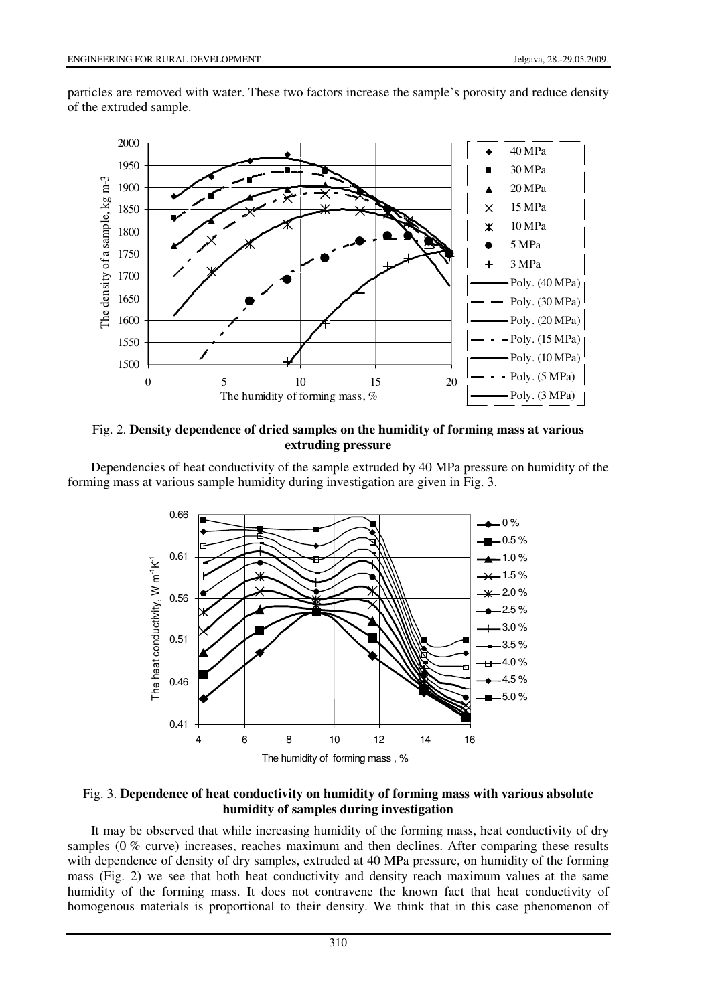particles are removed with water. These two factors increase the sample's porosity and reduce density of the extruded sample.



### Fig. 2. **Density dependence of dried samples on the humidity of forming mass at various extruding pressure**

Dependencies of heat conductivity of the sample extruded by 40 MPa pressure on humidity of the forming mass at various sample humidity during investigation are given in Fig. 3.



#### Fig. 3. **Dependence of heat conductivity on humidity of forming mass with various absolute humidity of samples during investigation**

It may be observed that while increasing humidity of the forming mass, heat conductivity of dry samples (0 % curve) increases, reaches maximum and then declines. After comparing these results with dependence of density of dry samples, extruded at 40 MPa pressure, on humidity of the forming mass (Fig. 2) we see that both heat conductivity and density reach maximum values at the same humidity of the forming mass. It does not contravene the known fact that heat conductivity of homogenous materials is proportional to their density. We think that in this case phenomenon of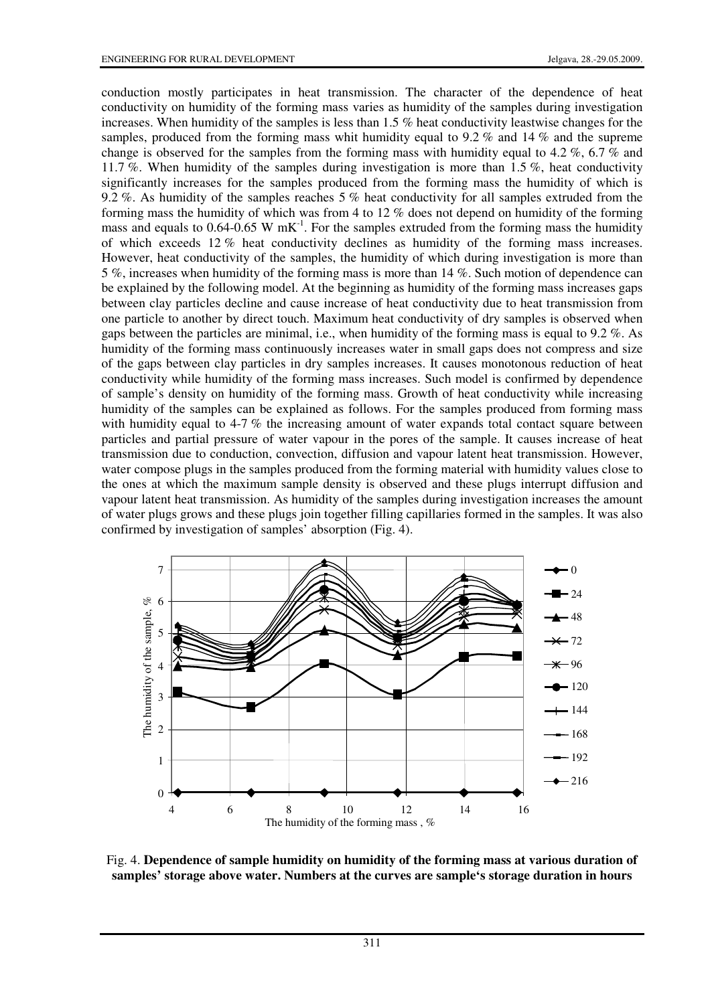conduction mostly participates in heat transmission. The character of the dependence of heat conductivity on humidity of the forming mass varies as humidity of the samples during investigation increases. When humidity of the samples is less than 1.5 % heat conductivity leastwise changes for the samples, produced from the forming mass whit humidity equal to 9.2 % and 14 % and the supreme change is observed for the samples from the forming mass with humidity equal to 4.2 %, 6.7 % and 11.7 %. When humidity of the samples during investigation is more than 1.5 %, heat conductivity significantly increases for the samples produced from the forming mass the humidity of which is 9.2 %. As humidity of the samples reaches 5 % heat conductivity for all samples extruded from the forming mass the humidity of which was from 4 to 12 % does not depend on humidity of the forming mass and equals to 0.64-0.65 W mK<sup>-1</sup>. For the samples extruded from the forming mass the humidity of which exceeds 12 % heat conductivity declines as humidity of the forming mass increases. However, heat conductivity of the samples, the humidity of which during investigation is more than 5 %, increases when humidity of the forming mass is more than 14 %. Such motion of dependence can be explained by the following model. At the beginning as humidity of the forming mass increases gaps between clay particles decline and cause increase of heat conductivity due to heat transmission from one particle to another by direct touch. Maximum heat conductivity of dry samples is observed when gaps between the particles are minimal, i.e., when humidity of the forming mass is equal to 9.2 %. As humidity of the forming mass continuously increases water in small gaps does not compress and size of the gaps between clay particles in dry samples increases. It causes monotonous reduction of heat conductivity while humidity of the forming mass increases. Such model is confirmed by dependence of sample's density on humidity of the forming mass. Growth of heat conductivity while increasing humidity of the samples can be explained as follows. For the samples produced from forming mass with humidity equal to 4-7 % the increasing amount of water expands total contact square between particles and partial pressure of water vapour in the pores of the sample. It causes increase of heat transmission due to conduction, convection, diffusion and vapour latent heat transmission. However, water compose plugs in the samples produced from the forming material with humidity values close to the ones at which the maximum sample density is observed and these plugs interrupt diffusion and vapour latent heat transmission. As humidity of the samples during investigation increases the amount of water plugs grows and these plugs join together filling capillaries formed in the samples. It was also confirmed by investigation of samples' absorption (Fig. 4).



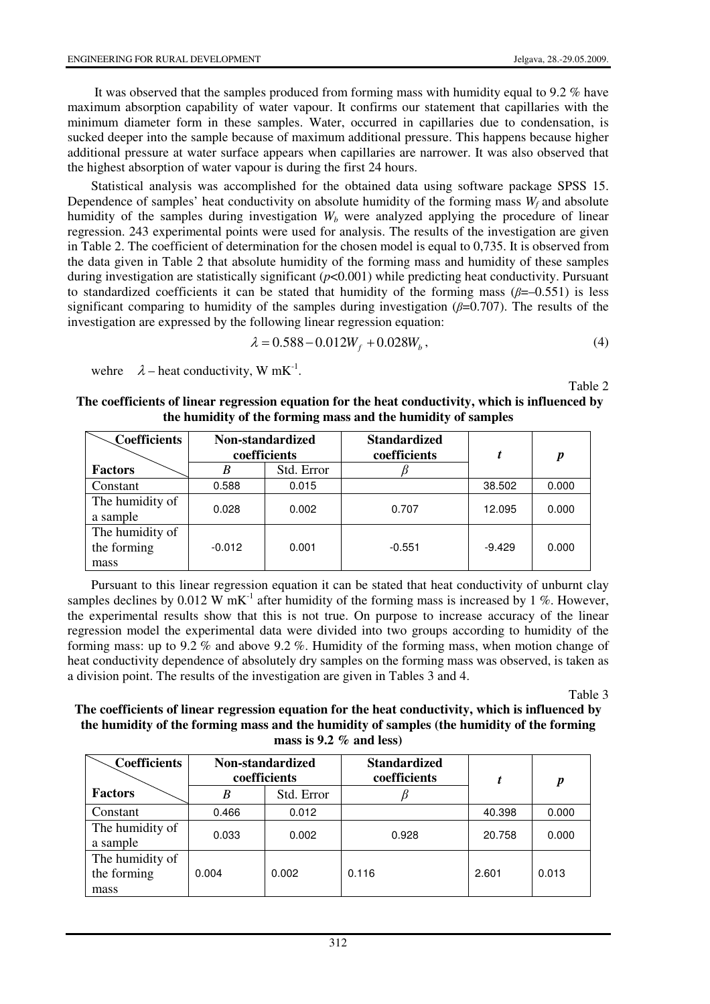It was observed that the samples produced from forming mass with humidity equal to 9.2 % have maximum absorption capability of water vapour. It confirms our statement that capillaries with the minimum diameter form in these samples. Water, occurred in capillaries due to condensation, is sucked deeper into the sample because of maximum additional pressure. This happens because higher additional pressure at water surface appears when capillaries are narrower. It was also observed that the highest absorption of water vapour is during the first 24 hours.

Statistical analysis was accomplished for the obtained data using software package SPSS 15. Dependence of samples' heat conductivity on absolute humidity of the forming mass  $W_f$  and absolute humidity of the samples during investigation  $W_b$  were analyzed applying the procedure of linear regression. 243 experimental points were used for analysis. The results of the investigation are given in Table 2. The coefficient of determination for the chosen model is equal to 0,735. It is observed from the data given in Table 2 that absolute humidity of the forming mass and humidity of these samples during investigation are statistically significant (*p*<0.001) while predicting heat conductivity. Pursuant to standardized coefficients it can be stated that humidity of the forming mass  $(\beta = -0.551)$  is less significant comparing to humidity of the samples during investigation ( $\beta$ =0.707). The results of the investigation are expressed by the following linear regression equation:

$$
\lambda = 0.588 - 0.012W_f + 0.028W_b, \qquad (4)
$$

wehre  $\lambda$  – heat conductivity, W mK<sup>-1</sup>.

Table 2

| The coefficients of linear regression equation for the heat conductivity, which is influenced by |
|--------------------------------------------------------------------------------------------------|
| the humidity of the forming mass and the humidity of samples                                     |

| <b>Coefficients</b>                    | Non-standardized<br>coefficients |            | <b>Standardized</b><br>coefficients | t        | $\boldsymbol{p}$ |
|----------------------------------------|----------------------------------|------------|-------------------------------------|----------|------------------|
| <b>Factors</b>                         | B                                | Std. Error |                                     |          |                  |
| Constant                               | 0.588                            | 0.015      |                                     | 38.502   | 0.000            |
| The humidity of<br>a sample            | 0.028                            | 0.002      | 0.707                               | 12.095   | 0.000            |
| The humidity of<br>the forming<br>mass | $-0.012$                         | 0.001      | $-0.551$                            | $-9.429$ | 0.000            |

Pursuant to this linear regression equation it can be stated that heat conductivity of unburnt clay samples declines by 0.012 W mK<sup>-1</sup> after humidity of the forming mass is increased by 1 %. However, the experimental results show that this is not true. On purpose to increase accuracy of the linear regression model the experimental data were divided into two groups according to humidity of the forming mass: up to 9.2 % and above 9.2 %. Humidity of the forming mass, when motion change of heat conductivity dependence of absolutely dry samples on the forming mass was observed, is taken as a division point. The results of the investigation are given in Tables 3 and 4.

Table 3

#### **The coefficients of linear regression equation for the heat conductivity, which is influenced by the humidity of the forming mass and the humidity of samples (the humidity of the forming mass is 9.2 % and less)**

| <b>Coefficients</b>                    | Non-standardized<br>coefficients |            | <b>Standardized</b><br>coefficients |        | p     |
|----------------------------------------|----------------------------------|------------|-------------------------------------|--------|-------|
| <b>Factors</b>                         | B                                | Std. Error |                                     |        |       |
| Constant                               | 0.466                            | 0.012      |                                     | 40.398 | 0.000 |
| The humidity of<br>a sample            | 0.033                            | 0.002      | 0.928                               | 20.758 | 0.000 |
| The humidity of<br>the forming<br>mass | 0.004                            | 0.002      | 0.116                               | 2.601  | 0.013 |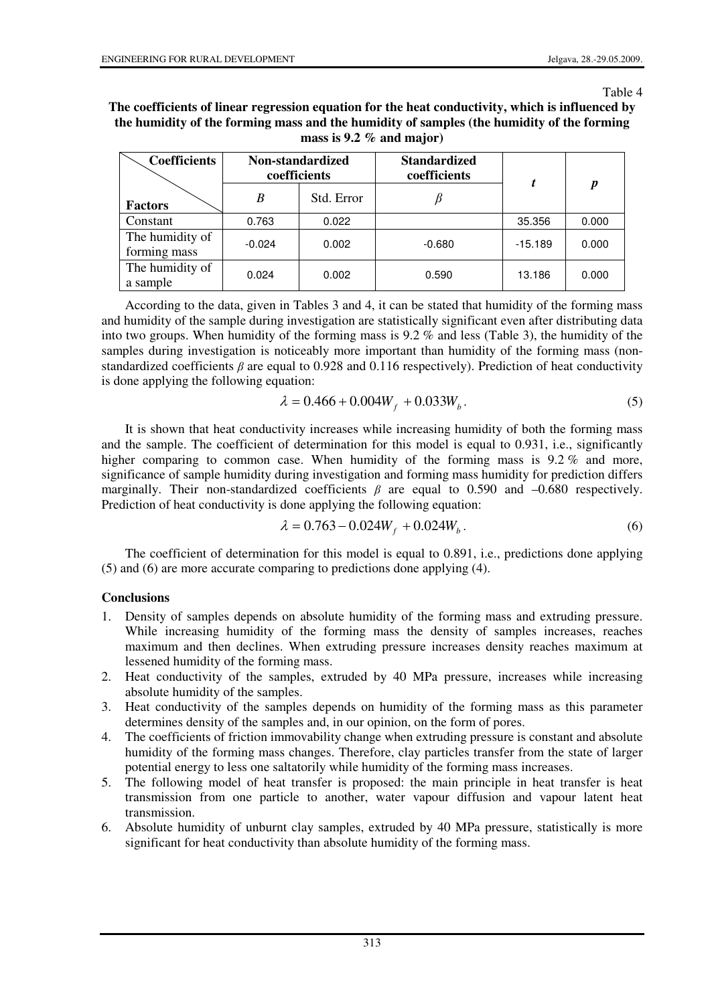Table 4

**The coefficients of linear regression equation for the heat conductivity, which is influenced by the humidity of the forming mass and the humidity of samples (the humidity of the forming mass is 9.2 % and major)** 

| <b>Coefficients</b>             | Non-standardized<br>coefficients |            | <b>Standardized</b><br>coefficients |           |                  |
|---------------------------------|----------------------------------|------------|-------------------------------------|-----------|------------------|
| <b>Factors</b>                  | B                                | Std. Error |                                     |           | $\boldsymbol{p}$ |
| Constant                        | 0.763                            | 0.022      |                                     | 35.356    | 0.000            |
| The humidity of<br>forming mass | $-0.024$                         | 0.002      | $-0.680$                            | $-15.189$ | 0.000            |
| The humidity of<br>a sample     | 0.024                            | 0.002      | 0.590                               | 13.186    | 0.000            |

According to the data, given in Tables 3 and 4, it can be stated that humidity of the forming mass and humidity of the sample during investigation are statistically significant even after distributing data into two groups. When humidity of the forming mass is 9.2 % and less (Table 3), the humidity of the samples during investigation is noticeably more important than humidity of the forming mass (nonstandardized coefficients  $\beta$  are equal to 0.928 and 0.116 respectively). Prediction of heat conductivity is done applying the following equation:

$$
\lambda = 0.466 + 0.004W_f + 0.033W_b.
$$
\n<sup>(5)</sup>

It is shown that heat conductivity increases while increasing humidity of both the forming mass and the sample. The coefficient of determination for this model is equal to 0.931, i.e., significantly higher comparing to common case. When humidity of the forming mass is 9.2 % and more, significance of sample humidity during investigation and forming mass humidity for prediction differs marginally. Their non-standardized coefficients  $\beta$  are equal to 0.590 and –0.680 respectively. Prediction of heat conductivity is done applying the following equation:

$$
\lambda = 0.763 - 0.024W_f + 0.024W_b.
$$
\n<sup>(6)</sup>

The coefficient of determination for this model is equal to 0.891, i.e., predictions done applying (5) and (6) are more accurate comparing to predictions done applying (4).

#### **Conclusions**

- 1. Density of samples depends on absolute humidity of the forming mass and extruding pressure. While increasing humidity of the forming mass the density of samples increases, reaches maximum and then declines. When extruding pressure increases density reaches maximum at lessened humidity of the forming mass.
- 2. Heat conductivity of the samples, extruded by 40 MPa pressure, increases while increasing absolute humidity of the samples.
- 3. Heat conductivity of the samples depends on humidity of the forming mass as this parameter determines density of the samples and, in our opinion, on the form of pores.
- 4. The coefficients of friction immovability change when extruding pressure is constant and absolute humidity of the forming mass changes. Therefore, clay particles transfer from the state of larger potential energy to less one saltatorily while humidity of the forming mass increases.
- 5. The following model of heat transfer is proposed: the main principle in heat transfer is heat transmission from one particle to another, water vapour diffusion and vapour latent heat transmission.
- 6. Absolute humidity of unburnt clay samples, extruded by 40 MPa pressure, statistically is more significant for heat conductivity than absolute humidity of the forming mass.